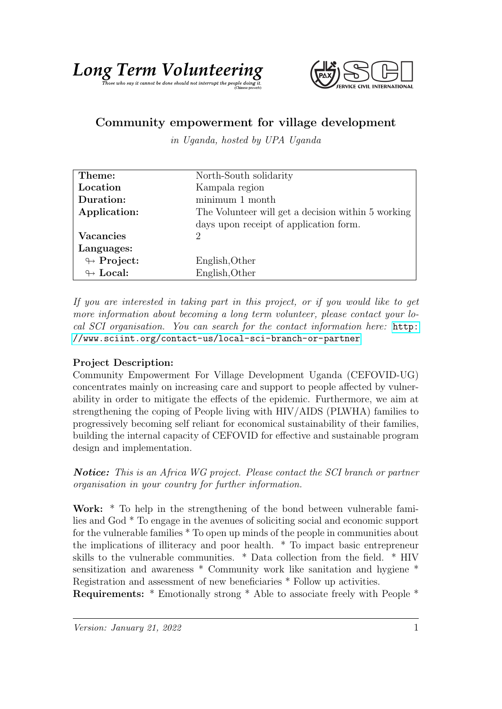## Long Term Volumbe depring

## Community empowerment for village development

in Uganda, hosted by UPA Uganda

| Theme:                     | North-South solidarity                             |
|----------------------------|----------------------------------------------------|
| Location                   | Kampala region                                     |
| Duration:                  | $minimum\ 1\ month$                                |
| Application:               | The Volunteer will get a decision within 5 working |
|                            | days upon receipt of application form.             |
| <b>Vacancies</b>           | 2                                                  |
| Languages:                 |                                                    |
| $\looparrowright$ Project: | English, Other                                     |
| $\leftrightarrow$ Local:   | English, Other                                     |

If you are interested in taking part in this project, or if you would like to get more information about becoming a long term volunteer, please contact your local SCI organisation. You can search for the contact information here: [http:](http://www.sciint.org/contact-us/local-sci-branch-or-partner) [//www.sciint.org/contact-us/local-sci-branch-or-partner](http://www.sciint.org/contact-us/local-sci-branch-or-partner)

## Project Description:

Community Empowerment For Village Development Uganda (CEFOVID-UG) concentrates mainly on increasing care and support to people affected by vulnerability in order to mitigate the effects of the epidemic. Furthermore, we aim at strengthening the coping of People living with HIV/AIDS (PLWHA) families to progressively becoming self reliant for economical sustainability of their families, building the internal capacity of CEFOVID for effective and sustainable program design and implementation.

**Notice:** This is an Africa WG project. Please contact the SCI branch or partner organisation in your country for further information.

Work: \* To help in the strengthening of the bond between vulnerable families and God \* To engage in the avenues of soliciting social and economic support for the vulnerable families \* To open up minds of the people in communities about the implications of illiteracy and poor health. \* To impact basic entrepreneur skills to the vulnerable communities. \* Data collection from the field. \* HIV sensitization and awareness \* Community work like sanitation and hygiene \* Registration and assessment of new beneficiaries \* Follow up activities.

Requirements: \* Emotionally strong \* Able to associate freely with People \*